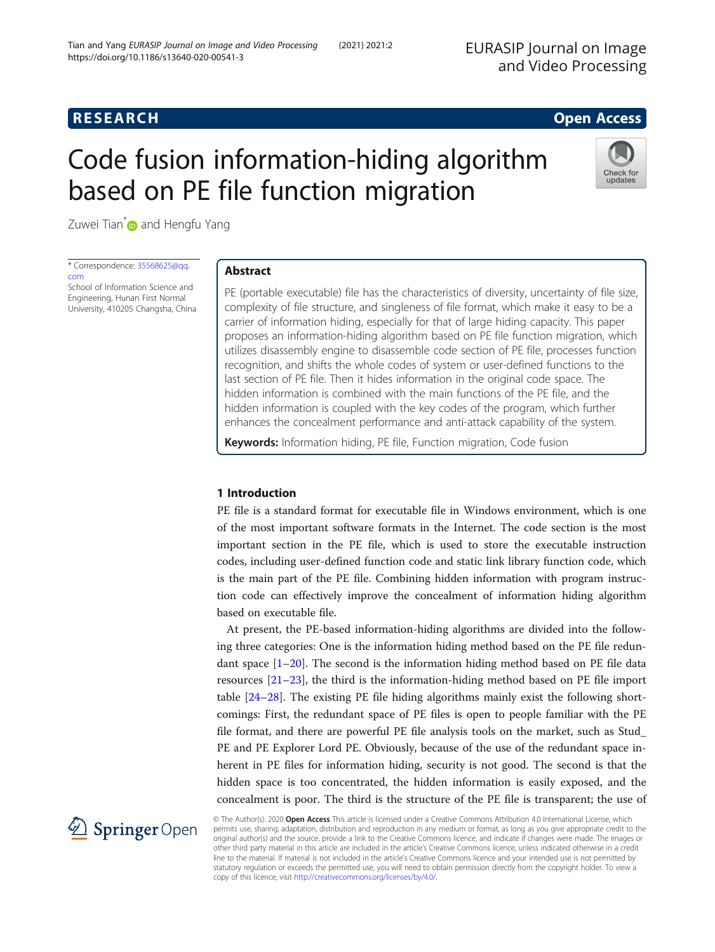# **RESEARCH RESEARCH CONSUMING ACCESS**

# Code fusion information-hiding algorithm based on PE file function migration



Zuwei Tian<sup>\*</sup> and Hengfu Yang

\* Correspondence: [35568625@qq.](mailto:35568625@qq.com) [com](mailto:35568625@qq.com) School of Information Science and

Engineering, Hunan First Normal University, 410205 Changsha, China

# Abstract

PE (portable executable) file has the characteristics of diversity, uncertainty of file size, complexity of file structure, and singleness of file format, which make it easy to be a carrier of information hiding, especially for that of large hiding capacity. This paper proposes an information-hiding algorithm based on PE file function migration, which utilizes disassembly engine to disassemble code section of PE file, processes function recognition, and shifts the whole codes of system or user-defined functions to the last section of PE file. Then it hides information in the original code space. The hidden information is combined with the main functions of the PE file, and the hidden information is coupled with the key codes of the program, which further enhances the concealment performance and anti-attack capability of the system.

Keywords: Information hiding, PE file, Function migration, Code fusion

# 1 Introduction

PE file is a standard format for executable file in Windows environment, which is one of the most important software formats in the Internet. The code section is the most important section in the PE file, which is used to store the executable instruction codes, including user-defined function code and static link library function code, which is the main part of the PE file. Combining hidden information with program instruction code can effectively improve the concealment of information hiding algorithm based on executable file.

At present, the PE-based information-hiding algorithms are divided into the following three categories: One is the information hiding method based on the PE file redundant space  $[1-20]$  $[1-20]$  $[1-20]$  $[1-20]$  $[1-20]$ . The second is the information hiding method based on PE file data resources [[21](#page-11-0)–[23](#page-11-0)], the third is the information-hiding method based on PE file import table  $[24-28]$  $[24-28]$  $[24-28]$ . The existing PE file hiding algorithms mainly exist the following shortcomings: First, the redundant space of PE files is open to people familiar with the PE file format, and there are powerful PE file analysis tools on the market, such as Stud\_ PE and PE Explorer Lord PE. Obviously, because of the use of the redundant space inherent in PE files for information hiding, security is not good. The second is that the hidden space is too concentrated, the hidden information is easily exposed, and the concealment is poor. The third is the structure of the PE file is transparent; the use of



© The Author(s). 2020 Open Access This article is licensed under a Creative Commons Attribution 4.0 International License, which permits use, sharing, adaptation, distribution and reproduction in any medium or format, as long as you give appropriate credit to the original author(s) and the source, provide a link to the Creative Commons licence, and indicate if changes were made. The images or other third party material in this article are included in the article's Creative Commons licence, unless indicated otherwise in a credit line to the material. If material is not included in the article's Creative Commons licence and your intended use is not permitted by statutory regulation or exceeds the permitted use, you will need to obtain permission directly from the copyright holder. To view a copy of this licence, visit <http://creativecommons.org/licenses/by/4.0/>.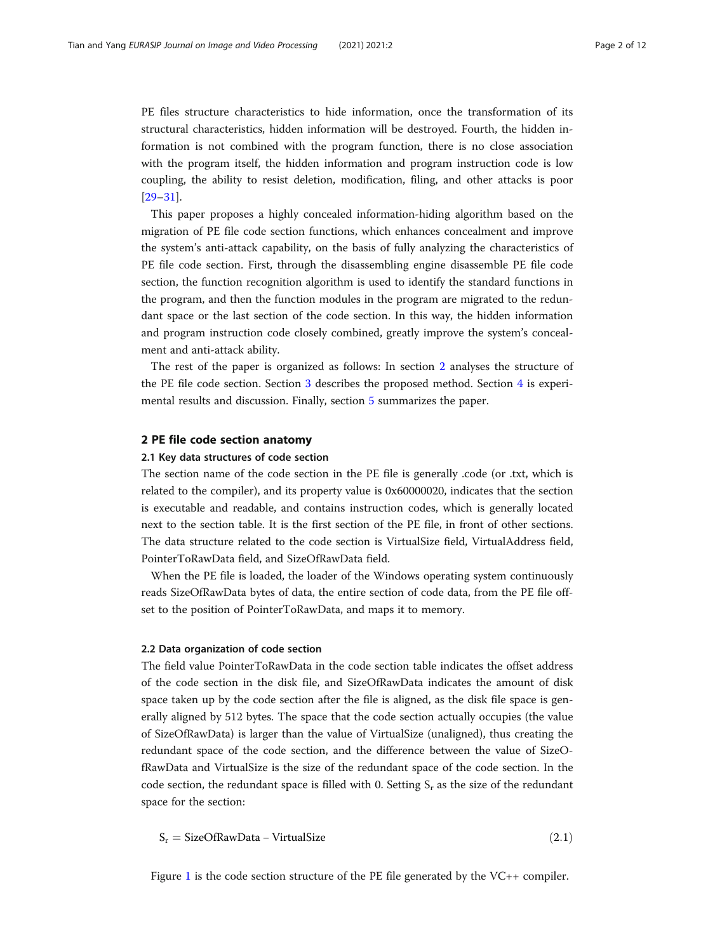PE files structure characteristics to hide information, once the transformation of its structural characteristics, hidden information will be destroyed. Fourth, the hidden information is not combined with the program function, there is no close association with the program itself, the hidden information and program instruction code is low coupling, the ability to resist deletion, modification, filing, and other attacks is poor [[29](#page-11-0)–[31](#page-11-0)].

This paper proposes a highly concealed information-hiding algorithm based on the migration of PE file code section functions, which enhances concealment and improve the system's anti-attack capability, on the basis of fully analyzing the characteristics of PE file code section. First, through the disassembling engine disassemble PE file code section, the function recognition algorithm is used to identify the standard functions in the program, and then the function modules in the program are migrated to the redundant space or the last section of the code section. In this way, the hidden information and program instruction code closely combined, greatly improve the system's concealment and anti-attack ability.

The rest of the paper is organized as follows: In section 2 analyses the structure of the PE file code section. Section [3](#page-2-0) describes the proposed method. Section [4](#page-8-0) is experimental results and discussion. Finally, section [5](#page-9-0) summarizes the paper.

# 2 PE file code section anatomy

# 2.1 Key data structures of code section

The section name of the code section in the PE file is generally .code (or .txt, which is related to the compiler), and its property value is 0x60000020, indicates that the section is executable and readable, and contains instruction codes, which is generally located next to the section table. It is the first section of the PE file, in front of other sections. The data structure related to the code section is VirtualSize field, VirtualAddress field, PointerToRawData field, and SizeOfRawData field.

When the PE file is loaded, the loader of the Windows operating system continuously reads SizeOfRawData bytes of data, the entire section of code data, from the PE file offset to the position of PointerToRawData, and maps it to memory.

#### 2.2 Data organization of code section

The field value PointerToRawData in the code section table indicates the offset address of the code section in the disk file, and SizeOfRawData indicates the amount of disk space taken up by the code section after the file is aligned, as the disk file space is generally aligned by 512 bytes. The space that the code section actually occupies (the value of SizeOfRawData) is larger than the value of VirtualSize (unaligned), thus creating the redundant space of the code section, and the difference between the value of SizeOfRawData and VirtualSize is the size of the redundant space of the code section. In the code section, the redundant space is filled with 0. Setting  $S_r$  as the size of the redundant space for the section:

$$
S_r = SizeOf RawData - VirtualSize
$$
\n(2.1)

Figure [1](#page-2-0) is the code section structure of the PE file generated by the VC++ compiler.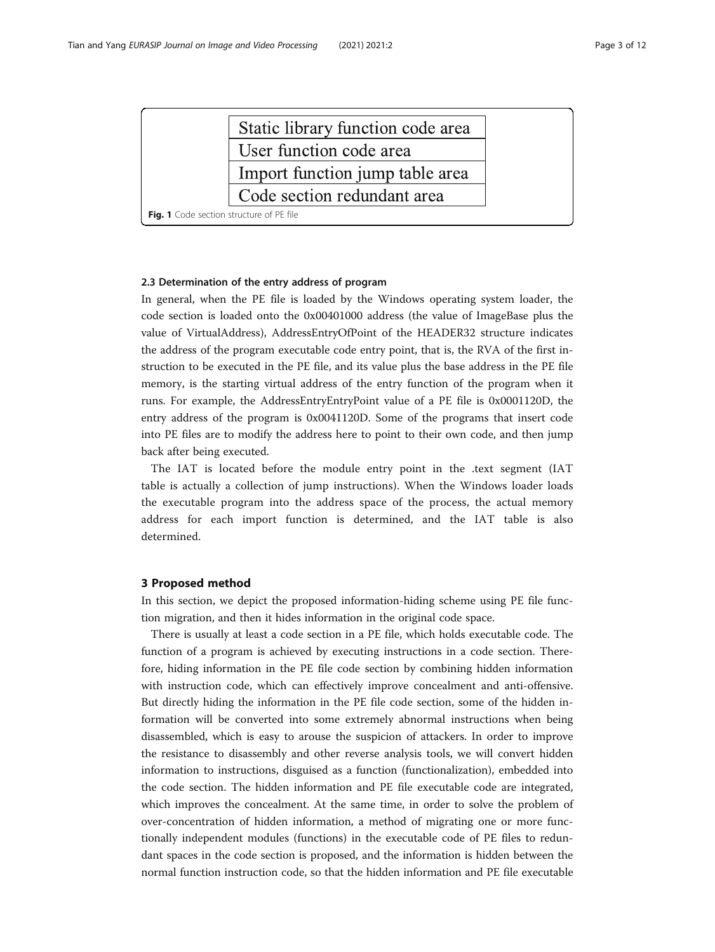<span id="page-2-0"></span>

|                                          | Static library function code area |  |  |  |  |
|------------------------------------------|-----------------------------------|--|--|--|--|
|                                          | User function code area           |  |  |  |  |
|                                          | Import function jump table area   |  |  |  |  |
|                                          | Code section redundant area       |  |  |  |  |
| Fig. 1 Code section structure of PE file |                                   |  |  |  |  |

# 2.3 Determination of the entry address of program

In general, when the PE file is loaded by the Windows operating system loader, the code section is loaded onto the 0x00401000 address (the value of ImageBase plus the value of VirtualAddress), AddressEntryOfPoint of the HEADER32 structure indicates the address of the program executable code entry point, that is, the RVA of the first instruction to be executed in the PE file, and its value plus the base address in the PE file memory, is the starting virtual address of the entry function of the program when it runs. For example, the AddressEntryEntryPoint value of a PE file is 0x0001120D, the entry address of the program is 0x0041120D. Some of the programs that insert code into PE files are to modify the address here to point to their own code, and then jump back after being executed.

The IAT is located before the module entry point in the .text segment (IAT table is actually a collection of jump instructions). When the Windows loader loads the executable program into the address space of the process, the actual memory address for each import function is determined, and the IAT table is also determined.

# 3 Proposed method

In this section, we depict the proposed information-hiding scheme using PE file function migration, and then it hides information in the original code space.

There is usually at least a code section in a PE file, which holds executable code. The function of a program is achieved by executing instructions in a code section. Therefore, hiding information in the PE file code section by combining hidden information with instruction code, which can effectively improve concealment and anti-offensive. But directly hiding the information in the PE file code section, some of the hidden information will be converted into some extremely abnormal instructions when being disassembled, which is easy to arouse the suspicion of attackers. In order to improve the resistance to disassembly and other reverse analysis tools, we will convert hidden information to instructions, disguised as a function (functionalization), embedded into the code section. The hidden information and PE file executable code are integrated, which improves the concealment. At the same time, in order to solve the problem of over-concentration of hidden information, a method of migrating one or more functionally independent modules (functions) in the executable code of PE files to redundant spaces in the code section is proposed, and the information is hidden between the normal function instruction code, so that the hidden information and PE file executable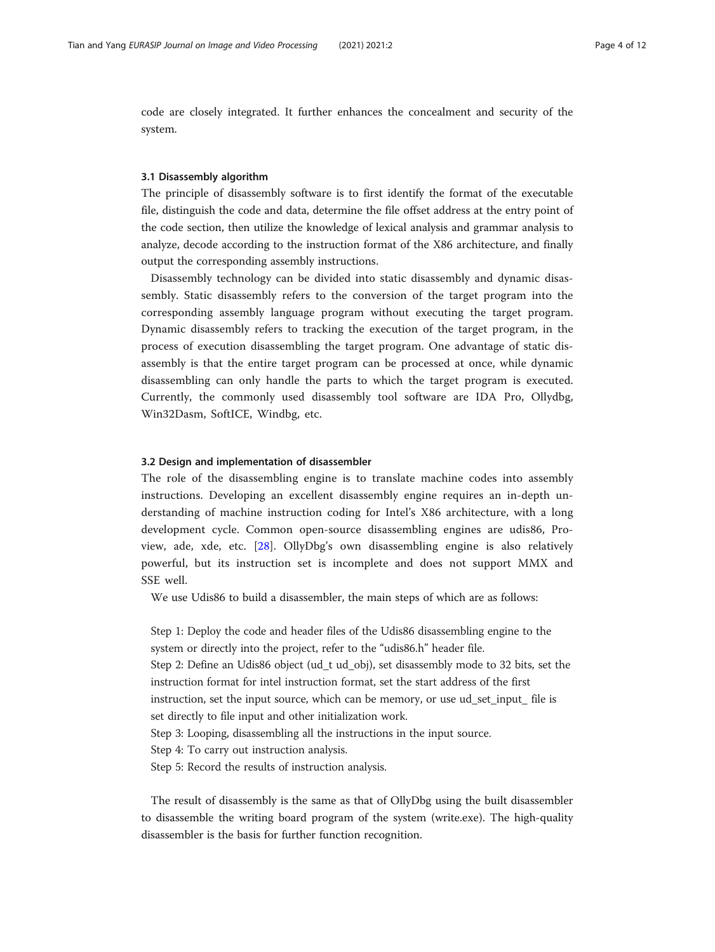code are closely integrated. It further enhances the concealment and security of the system.

# 3.1 Disassembly algorithm

The principle of disassembly software is to first identify the format of the executable file, distinguish the code and data, determine the file offset address at the entry point of the code section, then utilize the knowledge of lexical analysis and grammar analysis to analyze, decode according to the instruction format of the X86 architecture, and finally output the corresponding assembly instructions.

Disassembly technology can be divided into static disassembly and dynamic disassembly. Static disassembly refers to the conversion of the target program into the corresponding assembly language program without executing the target program. Dynamic disassembly refers to tracking the execution of the target program, in the process of execution disassembling the target program. One advantage of static disassembly is that the entire target program can be processed at once, while dynamic disassembling can only handle the parts to which the target program is executed. Currently, the commonly used disassembly tool software are IDA Pro, Ollydbg, Win32Dasm, SoftICE, Windbg, etc.

### 3.2 Design and implementation of disassembler

The role of the disassembling engine is to translate machine codes into assembly instructions. Developing an excellent disassembly engine requires an in-depth understanding of machine instruction coding for Intel's X86 architecture, with a long development cycle. Common open-source disassembling engines are udis86, Proview, ade, xde, etc. [[28\]](#page-11-0). OllyDbg's own disassembling engine is also relatively powerful, but its instruction set is incomplete and does not support MMX and SSE well.

We use Udis86 to build a disassembler, the main steps of which are as follows:

Step 1: Deploy the code and header files of the Udis86 disassembling engine to the system or directly into the project, refer to the "udis86.h" header file. Step 2: Define an Udis86 object (ud\_t ud\_obj), set disassembly mode to 32 bits, set the instruction format for intel instruction format, set the start address of the first instruction, set the input source, which can be memory, or use ud\_set\_input\_ file is set directly to file input and other initialization work. Step 3: Looping, disassembling all the instructions in the input source. Step 4: To carry out instruction analysis. Step 5: Record the results of instruction analysis.

The result of disassembly is the same as that of OllyDbg using the built disassembler to disassemble the writing board program of the system (write.exe). The high-quality disassembler is the basis for further function recognition.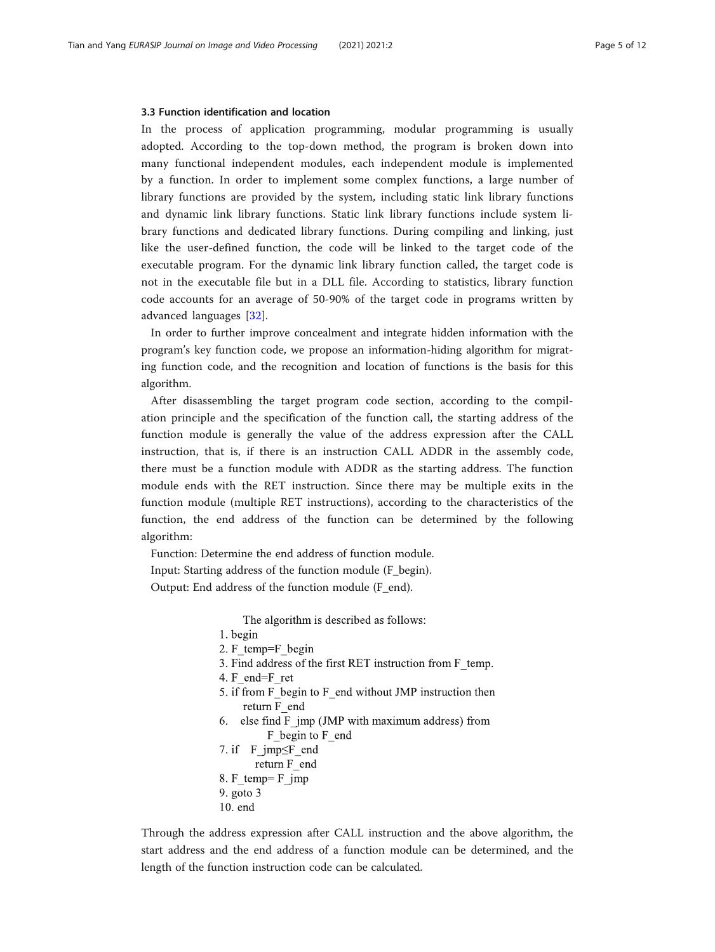#### 3.3 Function identification and location

In the process of application programming, modular programming is usually adopted. According to the top-down method, the program is broken down into many functional independent modules, each independent module is implemented by a function. In order to implement some complex functions, a large number of library functions are provided by the system, including static link library functions and dynamic link library functions. Static link library functions include system library functions and dedicated library functions. During compiling and linking, just like the user-defined function, the code will be linked to the target code of the executable program. For the dynamic link library function called, the target code is not in the executable file but in a DLL file. According to statistics, library function code accounts for an average of 50-90% of the target code in programs written by advanced languages [[32\]](#page-11-0).

In order to further improve concealment and integrate hidden information with the program's key function code, we propose an information-hiding algorithm for migrating function code, and the recognition and location of functions is the basis for this algorithm.

After disassembling the target program code section, according to the compilation principle and the specification of the function call, the starting address of the function module is generally the value of the address expression after the CALL instruction, that is, if there is an instruction CALL ADDR in the assembly code, there must be a function module with ADDR as the starting address. The function module ends with the RET instruction. Since there may be multiple exits in the function module (multiple RET instructions), according to the characteristics of the function, the end address of the function can be determined by the following algorithm:

Function: Determine the end address of function module. Input: Starting address of the function module (F\_begin). Output: End address of the function module (F\_end).

The algorithm is described as follows:

1. begin

- 2. F temp=F begin
- 3. Find address of the first RET instruction from F temp.
- 4. F end=F ret
- 5. if from F begin to F end without JMP instruction then return F end
- 6. else find F jmp (JMP with maximum address) from F begin to F end
- 7. if F\_jmp SF\_end return F end 8. F temp= F jmp  $9.$  goto  $3$
- $10.$  end

Through the address expression after CALL instruction and the above algorithm, the start address and the end address of a function module can be determined, and the length of the function instruction code can be calculated.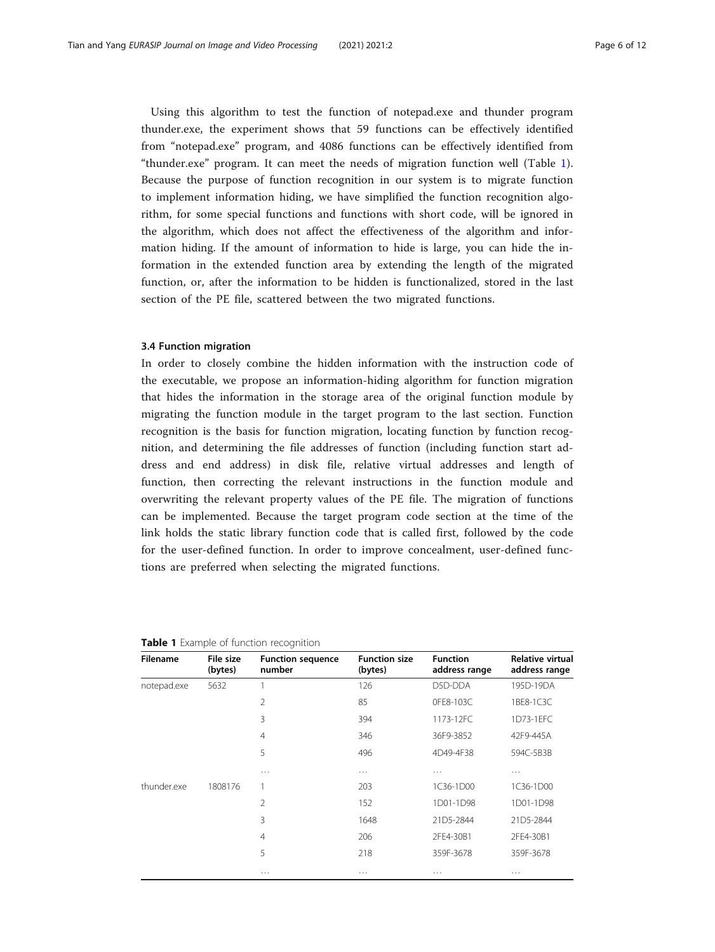Using this algorithm to test the function of notepad.exe and thunder program thunder.exe, the experiment shows that 59 functions can be effectively identified from "notepad.exe" program, and 4086 functions can be effectively identified from "thunder.exe" program. It can meet the needs of migration function well (Table 1). Because the purpose of function recognition in our system is to migrate function to implement information hiding, we have simplified the function recognition algorithm, for some special functions and functions with short code, will be ignored in the algorithm, which does not affect the effectiveness of the algorithm and information hiding. If the amount of information to hide is large, you can hide the information in the extended function area by extending the length of the migrated function, or, after the information to be hidden is functionalized, stored in the last section of the PE file, scattered between the two migrated functions.

### 3.4 Function migration

In order to closely combine the hidden information with the instruction code of the executable, we propose an information-hiding algorithm for function migration that hides the information in the storage area of the original function module by migrating the function module in the target program to the last section. Function recognition is the basis for function migration, locating function by function recognition, and determining the file addresses of function (including function start address and end address) in disk file, relative virtual addresses and length of function, then correcting the relevant instructions in the function module and overwriting the relevant property values of the PE file. The migration of functions can be implemented. Because the target program code section at the time of the link holds the static library function code that is called first, followed by the code for the user-defined function. In order to improve concealment, user-defined functions are preferred when selecting the migrated functions.

| <b>Filename</b> | File size<br>(bytes) | <b>Function sequence</b><br>number | <b>Function size</b><br>(bytes) | <b>Function</b><br>address range | Relative virtual<br>address range |
|-----------------|----------------------|------------------------------------|---------------------------------|----------------------------------|-----------------------------------|
| notepad.exe     | 5632                 |                                    | 126                             | D5D-DDA                          | 195D-19DA                         |
|                 |                      | 2                                  | 85                              | OFE8-103C                        | 1BE8-1C3C                         |
|                 |                      | 3                                  | 394                             | 1173-12FC                        | 1D73-1EFC                         |
|                 |                      | $\overline{4}$                     | 346                             | 36F9-3852                        | 42F9-445A                         |
|                 |                      | 5                                  | 496                             | 4D49-4F38                        | 594C-5B3B                         |
|                 |                      | .                                  | .                               | $\cdots$                         | .                                 |
| thunder.exe     | 1808176              | 1                                  | 203                             | 1C36-1D00                        | 1C36-1D00                         |
|                 |                      | 2                                  | 152                             | 1D01-1D98                        | 1D01-1D98                         |
|                 |                      | 3                                  | 1648                            | 21D5-2844                        | 21D5-2844                         |
|                 |                      | 4                                  | 206                             | 2FE4-30B1                        | 2FE4-30B1                         |
|                 |                      | 5                                  | 218                             | 359F-3678                        | 359F-3678                         |
|                 |                      | .                                  | $\cdots$                        | .                                | .                                 |

Table 1 Example of function recognition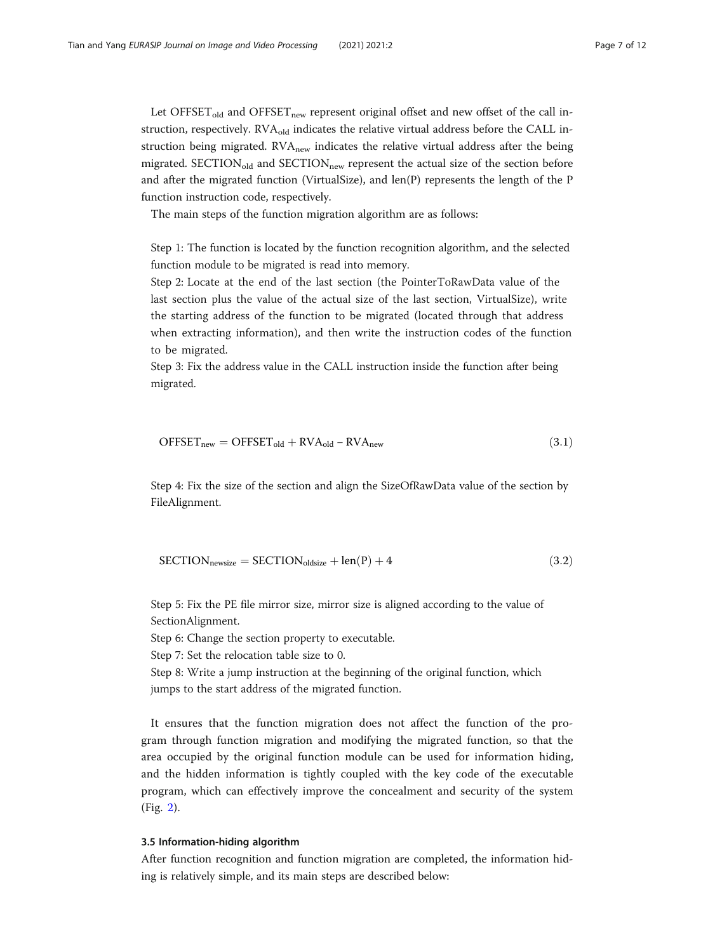Let  $\text{OFFSET}_{\text{old}}$  and  $\text{OFFSET}_{\text{new}}$  represent original offset and new offset of the call instruction, respectively.  $RVA_{old}$  indicates the relative virtual address before the CALL instruction being migrated. RVA<sub>new</sub> indicates the relative virtual address after the being migrated.  $SECTION_{old}$  and  $SECTION_{new}$  represent the actual size of the section before and after the migrated function (VirtualSize), and len(P) represents the length of the P function instruction code, respectively.

The main steps of the function migration algorithm are as follows:

Step 1: The function is located by the function recognition algorithm, and the selected function module to be migrated is read into memory.

Step 2: Locate at the end of the last section (the PointerToRawData value of the last section plus the value of the actual size of the last section, VirtualSize), write the starting address of the function to be migrated (located through that address when extracting information), and then write the instruction codes of the function to be migrated.

Step 3: Fix the address value in the CALL instruction inside the function after being migrated.

$$
OFFSET_{new} = OFFSET_{old} + RVA_{old} - RVA_{new}
$$
\n(3.1)

Step 4: Fix the size of the section and align the SizeOfRawData value of the section by FileAlignment.

$$
SECTION_{\text{newsize}} = SECTION_{\text{oldsize}} + \text{len}(P) + 4 \tag{3.2}
$$

Step 5: Fix the PE file mirror size, mirror size is aligned according to the value of SectionAlignment.

Step 6: Change the section property to executable.

Step 7: Set the relocation table size to 0.

Step 8: Write a jump instruction at the beginning of the original function, which jumps to the start address of the migrated function.

It ensures that the function migration does not affect the function of the program through function migration and modifying the migrated function, so that the area occupied by the original function module can be used for information hiding, and the hidden information is tightly coupled with the key code of the executable program, which can effectively improve the concealment and security of the system (Fig. [2\)](#page-7-0).

# 3.5 Information-hiding algorithm

After function recognition and function migration are completed, the information hiding is relatively simple, and its main steps are described below: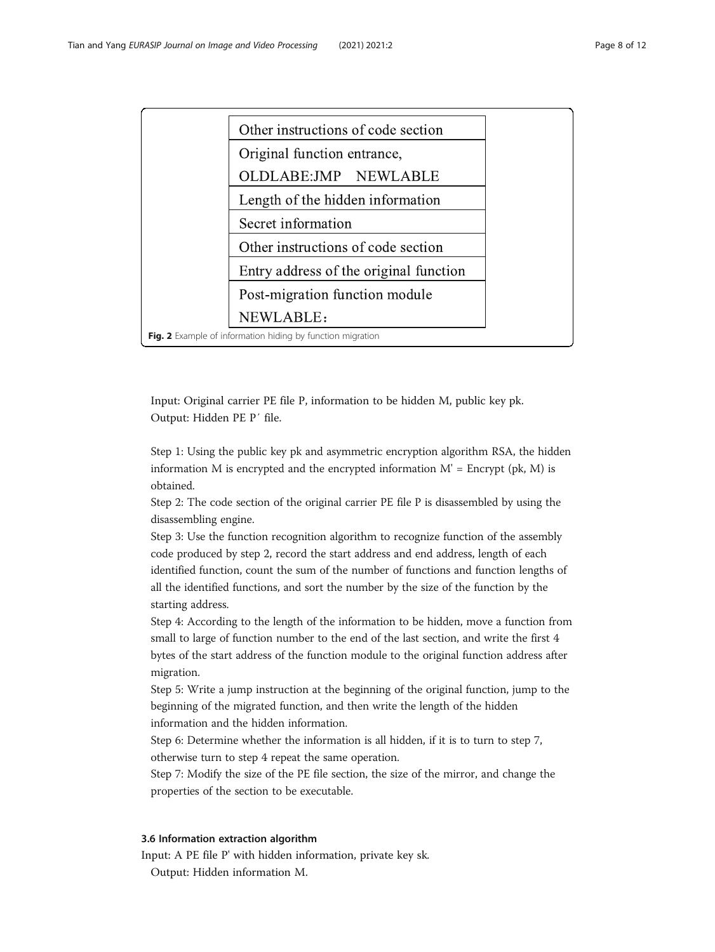<span id="page-7-0"></span>

Input: Original carrier PE file P, information to be hidden M, public key pk. Output: Hidden PE P′ file.

Step 1: Using the public key pk and asymmetric encryption algorithm RSA, the hidden information M is encrypted and the encrypted information  $M' =$  Encrypt (pk, M) is obtained.

Step 2: The code section of the original carrier PE file P is disassembled by using the disassembling engine.

Step 3: Use the function recognition algorithm to recognize function of the assembly code produced by step 2, record the start address and end address, length of each identified function, count the sum of the number of functions and function lengths of all the identified functions, and sort the number by the size of the function by the starting address.

Step 4: According to the length of the information to be hidden, move a function from small to large of function number to the end of the last section, and write the first 4 bytes of the start address of the function module to the original function address after migration.

Step 5: Write a jump instruction at the beginning of the original function, jump to the beginning of the migrated function, and then write the length of the hidden information and the hidden information.

Step 6: Determine whether the information is all hidden, if it is to turn to step 7, otherwise turn to step 4 repeat the same operation.

Step 7: Modify the size of the PE file section, the size of the mirror, and change the properties of the section to be executable.

# 3.6 Information extraction algorithm

Input: A PE file P' with hidden information, private key sk.

Output: Hidden information M.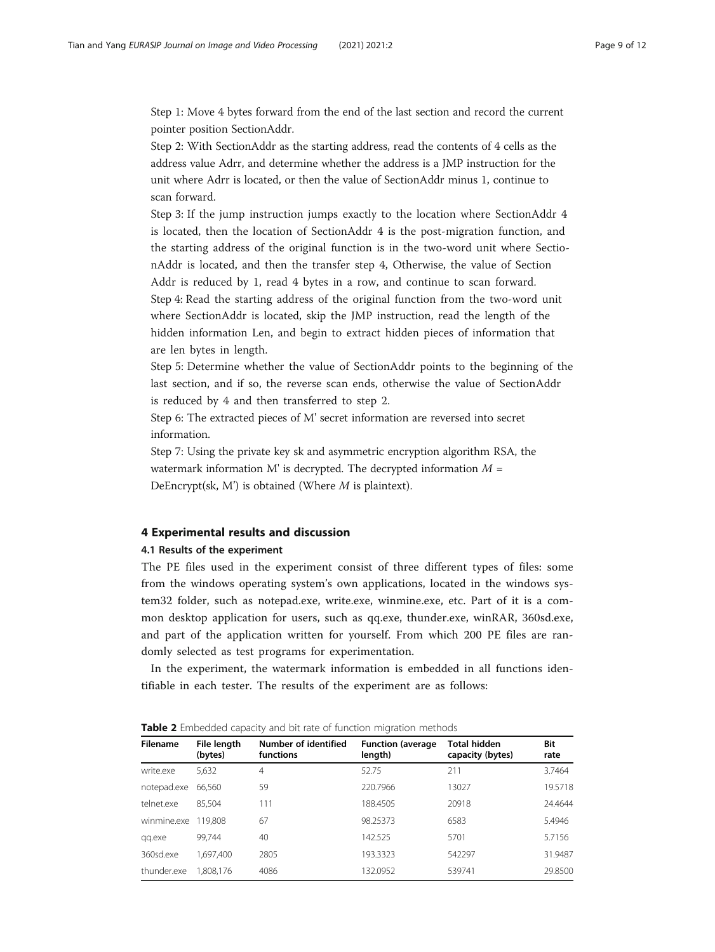<span id="page-8-0"></span>Step 1: Move 4 bytes forward from the end of the last section and record the current pointer position SectionAddr.

Step 2: With SectionAddr as the starting address, read the contents of 4 cells as the address value Adrr, and determine whether the address is a JMP instruction for the unit where Adrr is located, or then the value of SectionAddr minus 1, continue to scan forward.

Step 3: If the jump instruction jumps exactly to the location where SectionAddr 4 is located, then the location of SectionAddr 4 is the post-migration function, and the starting address of the original function is in the two-word unit where SectionAddr is located, and then the transfer step 4, Otherwise, the value of Section Addr is reduced by 1, read 4 bytes in a row, and continue to scan forward. Step 4: Read the starting address of the original function from the two-word unit where SectionAddr is located, skip the JMP instruction, read the length of the hidden information Len, and begin to extract hidden pieces of information that are len bytes in length.

Step 5: Determine whether the value of SectionAddr points to the beginning of the last section, and if so, the reverse scan ends, otherwise the value of SectionAddr is reduced by 4 and then transferred to step 2.

Step 6: The extracted pieces of M' secret information are reversed into secret information.

Step 7: Using the private key sk and asymmetric encryption algorithm RSA, the watermark information M' is decrypted. The decrypted information  $M =$ DeEncrypt(sk, M') is obtained (Where  $M$  is plaintext).

# 4 Experimental results and discussion

# 4.1 Results of the experiment

The PE files used in the experiment consist of three different types of files: some from the windows operating system's own applications, located in the windows system32 folder, such as notepad.exe, write.exe, winmine.exe, etc. Part of it is a common desktop application for users, such as qq.exe, thunder.exe, winRAR, 360sd.exe, and part of the application written for yourself. From which 200 PE files are randomly selected as test programs for experimentation.

In the experiment, the watermark information is embedded in all functions identifiable in each tester. The results of the experiment are as follows:

| <b>Filename</b> | File length<br>(bytes) | Number of identified<br>functions | <b>Function (average)</b><br>length) | <b>Total hidden</b><br>capacity (bytes) | Bit<br>rate |
|-----------------|------------------------|-----------------------------------|--------------------------------------|-----------------------------------------|-------------|
| write.exe       | 5,632                  | $\overline{4}$                    | 52.75                                | 211                                     | 3.7464      |
| notepad.exe     | 66.560                 | 59                                | 220.7966                             | 13027                                   | 19.5718     |
| telnet.exe      | 85.504                 | 111                               | 188.4505                             | 20918                                   | 24.4644     |
| winmine.exe     | 119.808                | 67                                | 98.25373                             | 6583                                    | 5.4946      |
| qq.exe          | 99.744                 | 40                                | 142.525                              | 5701                                    | 5.7156      |
| 360sd.exe       | 1.697.400              | 2805                              | 193.3323                             | 542297                                  | 31.9487     |
| thunder.exe     | 1,808,176              | 4086                              | 132.0952                             | 539741                                  | 29.8500     |

Table 2 Embedded capacity and bit rate of function migration methods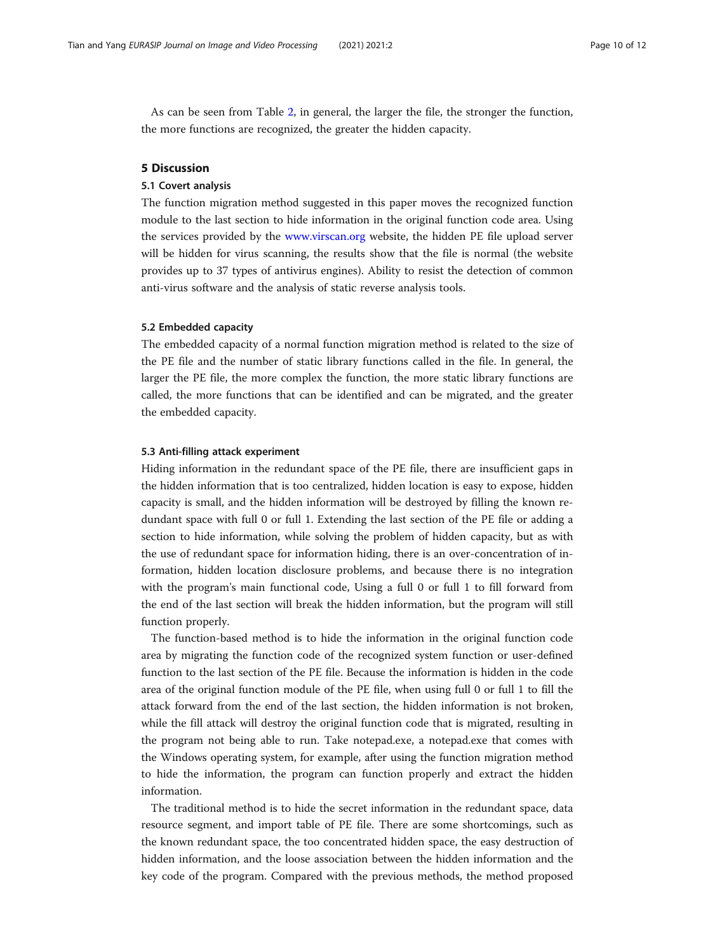<span id="page-9-0"></span>As can be seen from Table [2,](#page-8-0) in general, the larger the file, the stronger the function, the more functions are recognized, the greater the hidden capacity.

# 5 Discussion

# 5.1 Covert analysis

The function migration method suggested in this paper moves the recognized function module to the last section to hide information in the original function code area. Using the services provided by the [www.virscan.org](http://www.virscan.org) website, the hidden PE file upload server will be hidden for virus scanning, the results show that the file is normal (the website provides up to 37 types of antivirus engines). Ability to resist the detection of common anti-virus software and the analysis of static reverse analysis tools.

## 5.2 Embedded capacity

The embedded capacity of a normal function migration method is related to the size of the PE file and the number of static library functions called in the file. In general, the larger the PE file, the more complex the function, the more static library functions are called, the more functions that can be identified and can be migrated, and the greater the embedded capacity.

## 5.3 Anti-filling attack experiment

Hiding information in the redundant space of the PE file, there are insufficient gaps in the hidden information that is too centralized, hidden location is easy to expose, hidden capacity is small, and the hidden information will be destroyed by filling the known redundant space with full 0 or full 1. Extending the last section of the PE file or adding a section to hide information, while solving the problem of hidden capacity, but as with the use of redundant space for information hiding, there is an over-concentration of information, hidden location disclosure problems, and because there is no integration with the program's main functional code, Using a full 0 or full 1 to fill forward from the end of the last section will break the hidden information, but the program will still function properly.

The function-based method is to hide the information in the original function code area by migrating the function code of the recognized system function or user-defined function to the last section of the PE file. Because the information is hidden in the code area of the original function module of the PE file, when using full 0 or full 1 to fill the attack forward from the end of the last section, the hidden information is not broken, while the fill attack will destroy the original function code that is migrated, resulting in the program not being able to run. Take notepad.exe, a notepad.exe that comes with the Windows operating system, for example, after using the function migration method to hide the information, the program can function properly and extract the hidden information.

The traditional method is to hide the secret information in the redundant space, data resource segment, and import table of PE file. There are some shortcomings, such as the known redundant space, the too concentrated hidden space, the easy destruction of hidden information, and the loose association between the hidden information and the key code of the program. Compared with the previous methods, the method proposed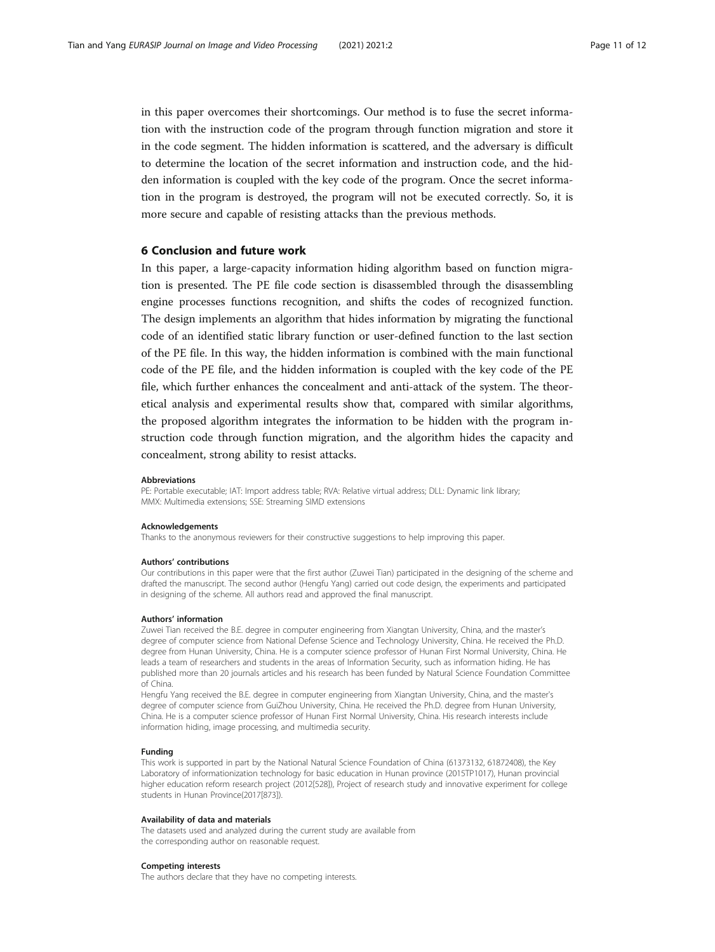in this paper overcomes their shortcomings. Our method is to fuse the secret information with the instruction code of the program through function migration and store it in the code segment. The hidden information is scattered, and the adversary is difficult to determine the location of the secret information and instruction code, and the hidden information is coupled with the key code of the program. Once the secret information in the program is destroyed, the program will not be executed correctly. So, it is more secure and capable of resisting attacks than the previous methods.

# 6 Conclusion and future work

In this paper, a large-capacity information hiding algorithm based on function migration is presented. The PE file code section is disassembled through the disassembling engine processes functions recognition, and shifts the codes of recognized function. The design implements an algorithm that hides information by migrating the functional code of an identified static library function or user-defined function to the last section of the PE file. In this way, the hidden information is combined with the main functional code of the PE file, and the hidden information is coupled with the key code of the PE file, which further enhances the concealment and anti-attack of the system. The theoretical analysis and experimental results show that, compared with similar algorithms, the proposed algorithm integrates the information to be hidden with the program instruction code through function migration, and the algorithm hides the capacity and concealment, strong ability to resist attacks.

#### Abbreviations

PE: Portable executable; IAT: Import address table; RVA: Relative virtual address; DLL: Dynamic link library; MMX: Multimedia extensions; SSE: Streaming SIMD extensions

#### Acknowledgements

Thanks to the anonymous reviewers for their constructive suggestions to help improving this paper.

#### Authors' contributions

Our contributions in this paper were that the first author (Zuwei Tian) participated in the designing of the scheme and drafted the manuscript. The second author (Hengfu Yang) carried out code design, the experiments and participated in designing of the scheme. All authors read and approved the final manuscript.

### Authors' information

Zuwei Tian received the B.E. degree in computer engineering from Xiangtan University, China, and the master's degree of computer science from National Defense Science and Technology University, China. He received the Ph.D. degree from Hunan University, China. He is a computer science professor of Hunan First Normal University, China. He leads a team of researchers and students in the areas of Information Security, such as information hiding. He has published more than 20 journals articles and his research has been funded by Natural Science Foundation Committee of China.

Hengfu Yang received the B.E. degree in computer engineering from Xiangtan University, China, and the master's degree of computer science from GuiZhou University, China. He received the Ph.D. degree from Hunan University, China. He is a computer science professor of Hunan First Normal University, China. His research interests include information hiding, image processing, and multimedia security.

# Funding

This work is supported in part by the National Natural Science Foundation of China (61373132, 61872408), the Key Laboratory of informationization technology for basic education in Hunan province (2015TP1017), Hunan provincial higher education reform research project (2012[528]), Project of research study and innovative experiment for college students in Hunan Province(2017[873]).

#### Availability of data and materials

The datasets used and analyzed during the current study are available from the corresponding author on reasonable request.

#### Competing interests

The authors declare that they have no competing interests.